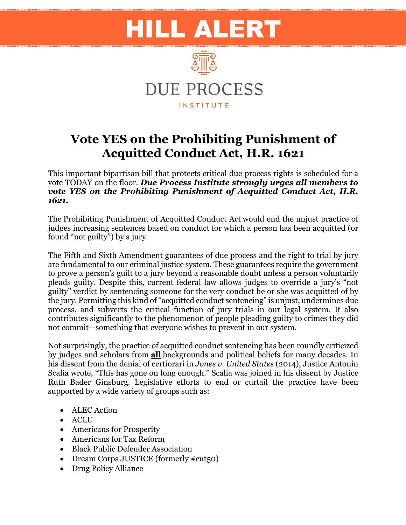## HILL ALERT



## **Vote YES on the Prohibiting Punishment of Acquitted Conduct Act, H.R. 1621**

This important bipartisan bill that protects critical due process rights is scheduled for a vote TODAY on the floor. *Due Process Institute strongly urges all members to vote YES on the Prohibiting Punishment of Acquitted Conduct Act, H.R. 1621.*

The Prohibiting Punishment of Acquitted Conduct Act would end the unjust practice of judges increasing sentences based on conduct for which a person has been acquitted (or found "not guilty") by a jury.

The Fifth and Sixth Amendment guarantees of due process and the right to trial by jury are fundamental to our criminal justice system. These guarantees require the government to prove a person's guilt to a jury beyond a reasonable doubt unless a person voluntarily pleads guilty. Despite this, current federal law allows judges to override a jury's "not guilty" verdict by sentencing someone for the very conduct he or she was acquitted of by the jury. Permitting this kind of "acquitted conduct sentencing" is unjust, undermines due process, and subverts the critical function of jury trials in our legal system. It also contributes significantly to the phenomenon of people pleading guilty to crimes they did not commit—something that everyone wishes to prevent in our system.

Not surprisingly, the practice of acquitted conduct sentencing has been roundly criticized by judges and scholars from **all** backgrounds and political beliefs for many decades. In his dissent from the denial of certiorari in *Jones v. United States* (2014), Justice Antonin Scalia wrote, "This has gone on long enough." Scalia was joined in his dissent by Justice Ruth Bader Ginsburg. Legislative efforts to end or curtail the practice have been supported by a wide variety of groups such as:

- ALEC Action
- ACLU
- Americans for Prosperity
- Americans for Tax Reform
- Black Public Defender Association
- Dream Corps JUSTICE (formerly #cut50)
- Drug Policy Alliance